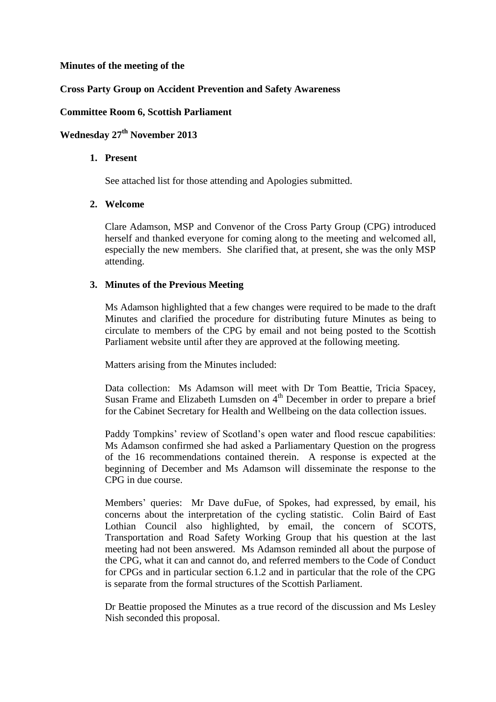### **Minutes of the meeting of the**

## **Cross Party Group on Accident Prevention and Safety Awareness**

### **Committee Room 6, Scottish Parliament**

# **Wednesday 27th November 2013**

#### **1. Present**

See attached list for those attending and Apologies submitted.

## **2. Welcome**

Clare Adamson, MSP and Convenor of the Cross Party Group (CPG) introduced herself and thanked everyone for coming along to the meeting and welcomed all, especially the new members. She clarified that, at present, she was the only MSP attending.

#### **3. Minutes of the Previous Meeting**

Ms Adamson highlighted that a few changes were required to be made to the draft Minutes and clarified the procedure for distributing future Minutes as being to circulate to members of the CPG by email and not being posted to the Scottish Parliament website until after they are approved at the following meeting.

Matters arising from the Minutes included:

Data collection: Ms Adamson will meet with Dr Tom Beattie, Tricia Spacey, Susan Frame and Elizabeth Lumsden on 4<sup>th</sup> December in order to prepare a brief for the Cabinet Secretary for Health and Wellbeing on the data collection issues.

Paddy Tompkins' review of Scotland's open water and flood rescue capabilities: Ms Adamson confirmed she had asked a Parliamentary Question on the progress of the 16 recommendations contained therein. A response is expected at the beginning of December and Ms Adamson will disseminate the response to the CPG in due course.

Members' queries: Mr Dave duFue, of Spokes, had expressed, by email, his concerns about the interpretation of the cycling statistic. Colin Baird of East Lothian Council also highlighted, by email, the concern of SCOTS, Transportation and Road Safety Working Group that his question at the last meeting had not been answered. Ms Adamson reminded all about the purpose of the CPG, what it can and cannot do, and referred members to the Code of Conduct for CPGs and in particular section 6.1.2 and in particular that the role of the CPG is separate from the formal structures of the Scottish Parliament.

Dr Beattie proposed the Minutes as a true record of the discussion and Ms Lesley Nish seconded this proposal.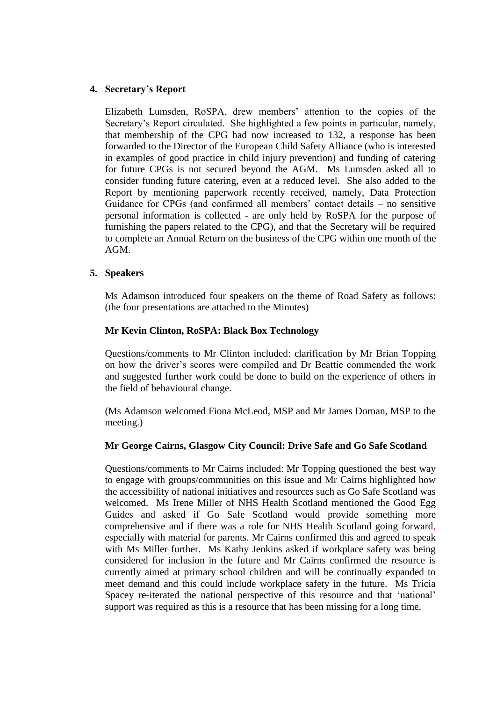## **4. Secretary's Report**

Elizabeth Lumsden, RoSPA, drew members' attention to the copies of the Secretary's Report circulated. She highlighted a few points in particular, namely, that membership of the CPG had now increased to 132, a response has been forwarded to the Director of the European Child Safety Alliance (who is interested in examples of good practice in child injury prevention) and funding of catering for future CPGs is not secured beyond the AGM. Ms Lumsden asked all to consider funding future catering, even at a reduced level. She also added to the Report by mentioning paperwork recently received, namely, Data Protection Guidance for CPGs (and confirmed all members' contact details – no sensitive personal information is collected - are only held by RoSPA for the purpose of furnishing the papers related to the CPG), and that the Secretary will be required to complete an Annual Return on the business of the CPG within one month of the AGM.

#### **5. Speakers**

Ms Adamson introduced four speakers on the theme of Road Safety as follows: (the four presentations are attached to the Minutes)

#### **Mr Kevin Clinton, RoSPA: Black Box Technology**

Questions/comments to Mr Clinton included: clarification by Mr Brian Topping on how the driver's scores were compiled and Dr Beattie commended the work and suggested further work could be done to build on the experience of others in the field of behavioural change.

(Ms Adamson welcomed Fiona McLeod, MSP and Mr James Dornan, MSP to the meeting.)

#### **Mr George Cairns, Glasgow City Council: Drive Safe and Go Safe Scotland**

Questions/comments to Mr Cairns included: Mr Topping questioned the best way to engage with groups/communities on this issue and Mr Cairns highlighted how the accessibility of national initiatives and resources such as Go Safe Scotland was welcomed. Ms Irene Miller of NHS Health Scotland mentioned the Good Egg Guides and asked if Go Safe Scotland would provide something more comprehensive and if there was a role for NHS Health Scotland going forward, especially with material for parents. Mr Cairns confirmed this and agreed to speak with Ms Miller further. Ms Kathy Jenkins asked if workplace safety was being considered for inclusion in the future and Mr Cairns confirmed the resource is currently aimed at primary school children and will be continually expanded to meet demand and this could include workplace safety in the future. Ms Tricia Spacey re-iterated the national perspective of this resource and that 'national' support was required as this is a resource that has been missing for a long time.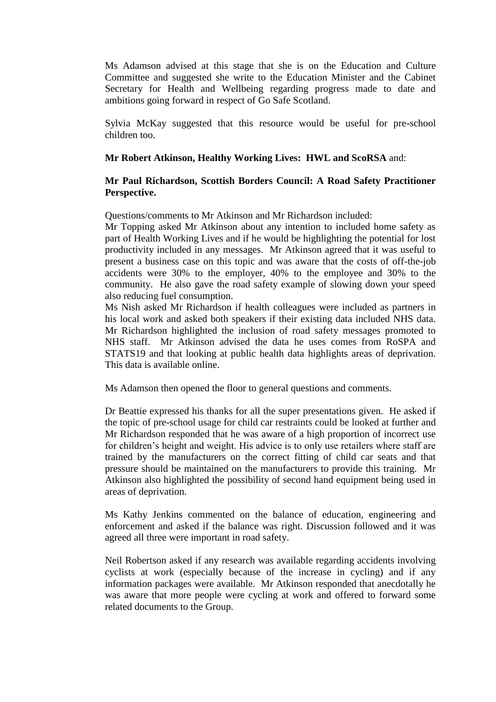Ms Adamson advised at this stage that she is on the Education and Culture Committee and suggested she write to the Education Minister and the Cabinet Secretary for Health and Wellbeing regarding progress made to date and ambitions going forward in respect of Go Safe Scotland.

Sylvia McKay suggested that this resource would be useful for pre-school children too.

#### **Mr Robert Atkinson, Healthy Working Lives: HWL and ScoRSA** and:

## **Mr Paul Richardson, Scottish Borders Council: A Road Safety Practitioner Perspective.**

Questions/comments to Mr Atkinson and Mr Richardson included:

Mr Topping asked Mr Atkinson about any intention to included home safety as part of Health Working Lives and if he would be highlighting the potential for lost productivity included in any messages. Mr Atkinson agreed that it was useful to present a business case on this topic and was aware that the costs of off-the-job accidents were 30% to the employer, 40% to the employee and 30% to the community. He also gave the road safety example of slowing down your speed also reducing fuel consumption.

Ms Nish asked Mr Richardson if health colleagues were included as partners in his local work and asked both speakers if their existing data included NHS data. Mr Richardson highlighted the inclusion of road safety messages promoted to NHS staff. Mr Atkinson advised the data he uses comes from RoSPA and STATS19 and that looking at public health data highlights areas of deprivation. This data is available online.

Ms Adamson then opened the floor to general questions and comments.

Dr Beattie expressed his thanks for all the super presentations given. He asked if the topic of pre-school usage for child car restraints could be looked at further and Mr Richardson responded that he was aware of a high proportion of incorrect use for children's height and weight. His advice is to only use retailers where staff are trained by the manufacturers on the correct fitting of child car seats and that pressure should be maintained on the manufacturers to provide this training. Mr Atkinson also highlighted the possibility of second hand equipment being used in areas of deprivation.

Ms Kathy Jenkins commented on the balance of education, engineering and enforcement and asked if the balance was right. Discussion followed and it was agreed all three were important in road safety.

Neil Robertson asked if any research was available regarding accidents involving cyclists at work (especially because of the increase in cycling) and if any information packages were available. Mr Atkinson responded that anecdotally he was aware that more people were cycling at work and offered to forward some related documents to the Group.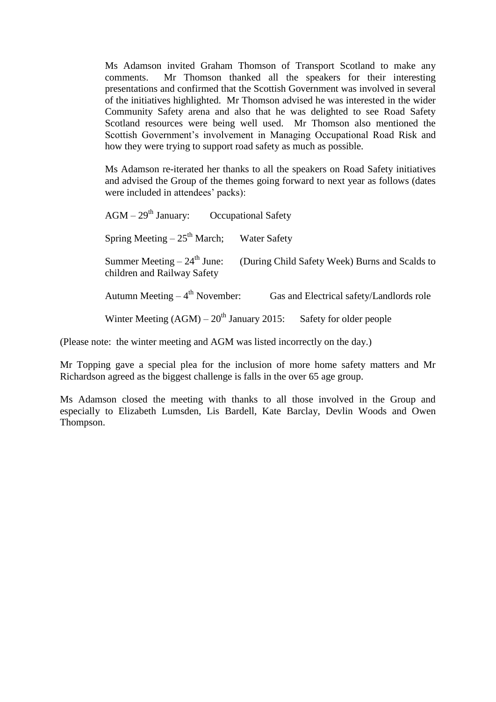Ms Adamson invited Graham Thomson of Transport Scotland to make any comments. Mr Thomson thanked all the speakers for their interesting presentations and confirmed that the Scottish Government was involved in several of the initiatives highlighted. Mr Thomson advised he was interested in the wider Community Safety arena and also that he was delighted to see Road Safety Scotland resources were being well used. Mr Thomson also mentioned the Scottish Government's involvement in Managing Occupational Road Risk and how they were trying to support road safety as much as possible.

Ms Adamson re-iterated her thanks to all the speakers on Road Safety initiatives and advised the Group of the themes going forward to next year as follows (dates were included in attendees' packs):

 $AGM - 29<sup>th</sup> January:$  Occupational Safety Spring Meeting  $-25<sup>th</sup>$  March; Water Safety Summer Meeting  $-24^{th}$  June: (During Child Safety Week) Burns and Scalds to children and Railway Safety Autumn Meeting  $-4$ <sup>th</sup> November: Gas and Electrical safety/Landlords role Winter Meeting  $(AGM) - 20<sup>th</sup>$  January 2015: Safety for older people

(Please note: the winter meeting and AGM was listed incorrectly on the day.)

Mr Topping gave a special plea for the inclusion of more home safety matters and Mr Richardson agreed as the biggest challenge is falls in the over 65 age group.

Ms Adamson closed the meeting with thanks to all those involved in the Group and especially to Elizabeth Lumsden, Lis Bardell, Kate Barclay, Devlin Woods and Owen Thompson.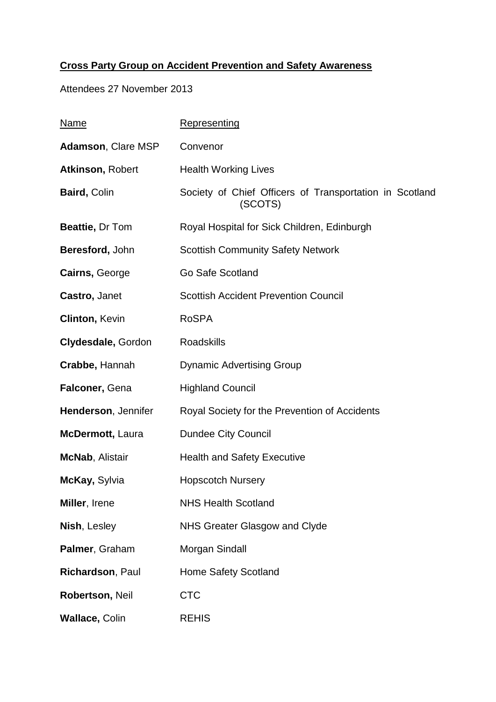# **Cross Party Group on Accident Prevention and Safety Awareness**

Attendees 27 November 2013

| <u>Name</u>             | Representing                                                       |
|-------------------------|--------------------------------------------------------------------|
| Adamson, Clare MSP      | Convenor                                                           |
| Atkinson, Robert        | <b>Health Working Lives</b>                                        |
| <b>Baird, Colin</b>     | Society of Chief Officers of Transportation in Scotland<br>(SCOTS) |
| Beattie, Dr Tom         | Royal Hospital for Sick Children, Edinburgh                        |
| Beresford, John         | <b>Scottish Community Safety Network</b>                           |
| Cairns, George          | Go Safe Scotland                                                   |
| Castro, Janet           | <b>Scottish Accident Prevention Council</b>                        |
| <b>Clinton, Kevin</b>   | <b>RoSPA</b>                                                       |
| Clydesdale, Gordon      | <b>Roadskills</b>                                                  |
| Crabbe, Hannah          | <b>Dynamic Advertising Group</b>                                   |
| Falconer, Gena          | <b>Highland Council</b>                                            |
| Henderson, Jennifer     | Royal Society for the Prevention of Accidents                      |
| <b>McDermott, Laura</b> | <b>Dundee City Council</b>                                         |
| <b>McNab, Alistair</b>  | <b>Health and Safety Executive</b>                                 |
| McKay, Sylvia           | <b>Hopscotch Nursery</b>                                           |
| Miller, Irene           | <b>NHS Health Scotland</b>                                         |
| Nish, Lesley            | NHS Greater Glasgow and Clyde                                      |
| Palmer, Graham          | Morgan Sindall                                                     |
| Richardson, Paul        | <b>Home Safety Scotland</b>                                        |
| Robertson, Neil         | <b>CTC</b>                                                         |
| <b>Wallace, Colin</b>   | <b>REHIS</b>                                                       |